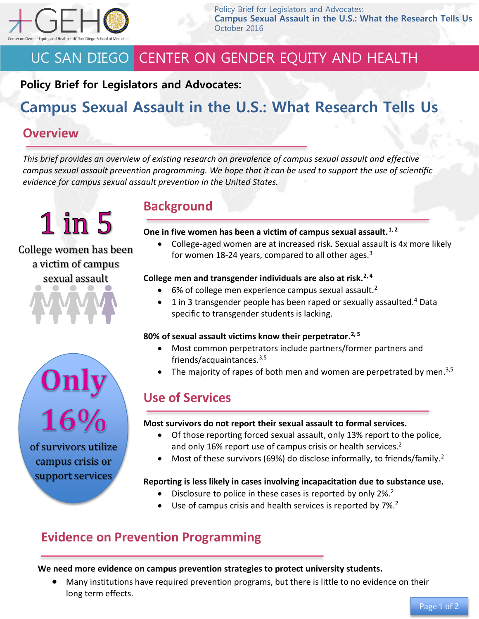

Policy Brief for Legislators and Advocates: **Campus Sexual Assault in the U.S.: What the Research Tells Us** October 2016

# UC SAN DIEGO CENTER ON GENDER EQUITY AND HEALTH

### **Policy Brief for Legislators and Advocates:**

# **Campus Sexual Assault in the U.S.: What Research Tells Us**

### **Overview**

*This brief provides an overview of existing research on prevalence of campus sexual assault and effective campus sexual assault prevention programming. We hope that it can be used to support the use of scientific evidence for campus sexual assault prevention in the United States.*

 $1$  in  $5$ 

### College women has been a victim of campus sexual assault

### **Background**

#### **One in five women has been a victim of campus sexual assault.1, <sup>2</sup>**

 College-aged women are at increased risk. Sexual assault is 4x more likely for women 18-24 years, compared to all other ages. $3$ 

#### **College men and transgender individuals are also at risk.2, <sup>4</sup>**

- $\bullet$  6% of college men experience campus sexual assault.<sup>2</sup>
- $\bullet$  1 in 3 transgender people has been raped or sexually assaulted.<sup>4</sup> Data specific to transgender students is lacking.

#### **80% of sexual assault victims know their perpetrator. 2, 5**

- Most common perpetrators include partners/former partners and friends/acquaintances.3,5
- $\bullet$  The majority of rapes of both men and women are perpetrated by men.<sup>3,5</sup>

## **Use of Services**

#### **Most survivors do not report their sexual assault to formal services.**

- Of those reporting forced sexual assault, only 13% report to the police, and only 16% report use of campus crisis or health services.<sup>2</sup>
- Most of these survivors (69%) do disclose informally, to friends/family.<sup>2</sup>

#### **Reporting is less likely in cases involving incapacitation due to substance use.**

- $\bullet$  Disclosure to police in these cases is reported by only 2%.<sup>2</sup>
- Use of campus crisis and health services is reported by 7%.<sup>2</sup>

## **Evidence on Prevention Programming**

#### **We need more evidence on campus prevention strategies to protect university students.**

 Many institutions have required prevention programs, but there is little to no evidence on their long term effects.



of survivors utilize campus crisis or support services